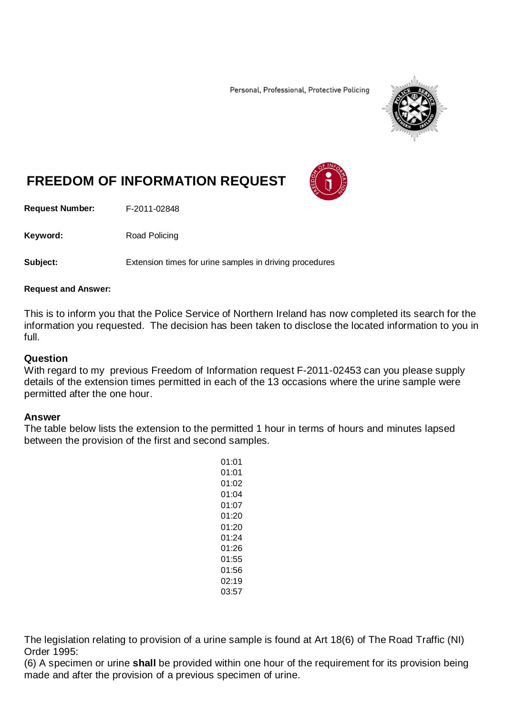Personal, Professional, Protective Policing



## **FREEDOM OF INFORMATION REQUEST**

**Request Number:** F-2011-02848

Keyword: Road Policing

**Subject:** Extension times for urine samples in driving procedures

## **Request and Answer:**

This is to inform you that the Police Service of Northern Ireland has now completed its search for the information you requested. The decision has been taken to disclose the located information to you in full.

## **Question**

With regard to my previous Freedom of Information request F-2011-02453 can you please supply details of the extension times permitted in each of the 13 occasions where the urine sample were permitted after the one hour.

## **Answer**

The table below lists the extension to the permitted 1 hour in terms of hours and minutes lapsed between the provision of the first and second samples.

> 01:01 01:01 01:02 01:04 01:07 01:20 01:20 01:24 01:26 01:55 01:56 02:19 03:57

The legislation relating to provision of a urine sample is found at Art 18(6) of The Road Traffic (NI) Order 1995:

(6) A specimen or urine **shall** be provided within one hour of the requirement for its provision being made and after the provision of a previous specimen of urine.